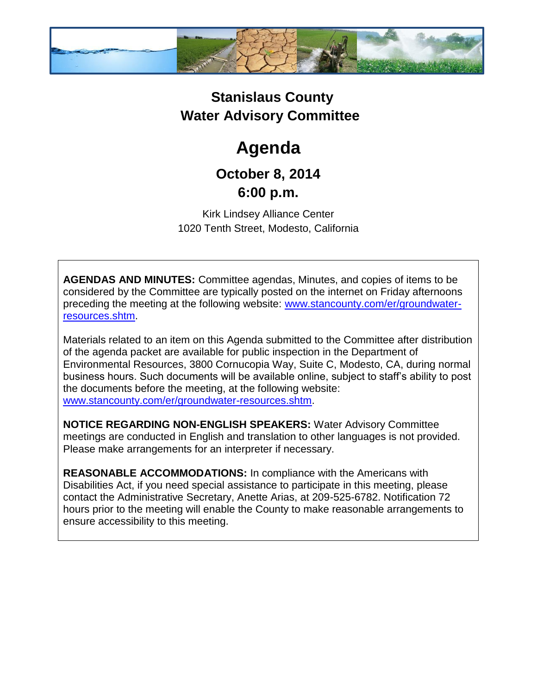

## **Stanislaus County Water Advisory Committee**

# **Agenda**

### **October 8, 2014 6:00 p.m.**

Kirk Lindsey Alliance Center 1020 Tenth Street, Modesto, California

**AGENDAS AND MINUTES:** Committee agendas, Minutes, and copies of items to be considered by the Committee are typically posted on the internet on Friday afternoons preceding the meeting at the following website: [www.stancounty.com/er/groundwater](http://www.stancounty.com/er/groundwater-resources.shtm)[resources.shtm.](http://www.stancounty.com/er/groundwater-resources.shtm)

Materials related to an item on this Agenda submitted to the Committee after distribution of the agenda packet are available for public inspection in the Department of Environmental Resources, 3800 Cornucopia Way, Suite C, Modesto, CA, during normal business hours. Such documents will be available online, subject to staff's ability to post the documents before the meeting, at the following website: [www.stancounty.com/er/groundwater-resources.shtm.](http://www.stancounty.com/er/groundwater-resources.shtm)

**NOTICE REGARDING NON-ENGLISH SPEAKERS:** Water Advisory Committee meetings are conducted in English and translation to other languages is not provided. Please make arrangements for an interpreter if necessary.

**REASONABLE ACCOMMODATIONS:** In compliance with the Americans with Disabilities Act, if you need special assistance to participate in this meeting, please contact the Administrative Secretary, Anette Arias, at 209-525-6782. Notification 72 hours prior to the meeting will enable the County to make reasonable arrangements to ensure accessibility to this meeting.